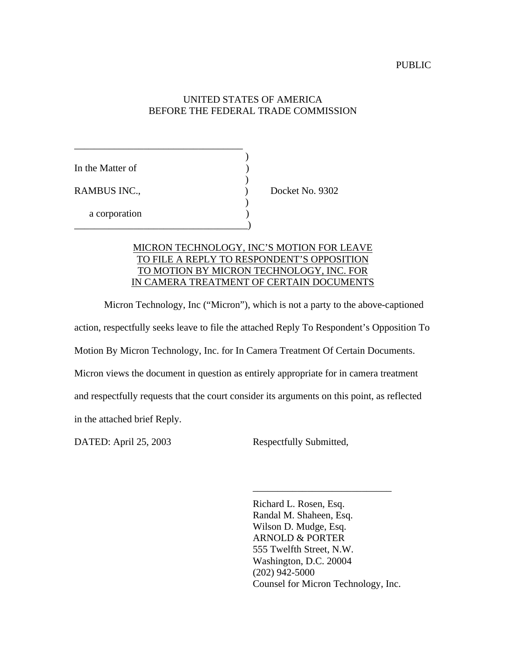# UNITED STATES OF AMERICA BEFORE THE FEDERAL TRADE COMMISSION

| In the Matter of |                 |
|------------------|-----------------|
| RAMBUS INC.,     | Docket No. 9302 |
| a corporation    |                 |

# MICRON TECHNOLOGY, INC'S MOTION FOR LEAVE TO FILE A REPLY TO RESPONDENT'S OPPOSITION TO MOTION BY MICRON TECHNOLOGY, INC. FOR IN CAMERA TREATMENT OF CERTAIN DOCUMENTS

Micron Technology, Inc ("Micron"), which is not a party to the above-captioned action, respectfully seeks leave to file the attached Reply To Respondent's Opposition To Motion By Micron Technology, Inc. for In Camera Treatment Of Certain Documents. Micron views the document in question as entirely appropriate for in camera treatment and respectfully requests that the court consider its arguments on this point, as reflected in the attached brief Reply.

DATED: April 25, 2003 Respectfully Submitted,

Richard L. Rosen, Esq. Randal M. Shaheen, Esq. Wilson D. Mudge, Esq. ARNOLD & PORTER 555 Twelfth Street, N.W. Washington, D.C. 20004 (202) 942-5000 Counsel for Micron Technology, Inc.

\_\_\_\_\_\_\_\_\_\_\_\_\_\_\_\_\_\_\_\_\_\_\_\_\_\_\_\_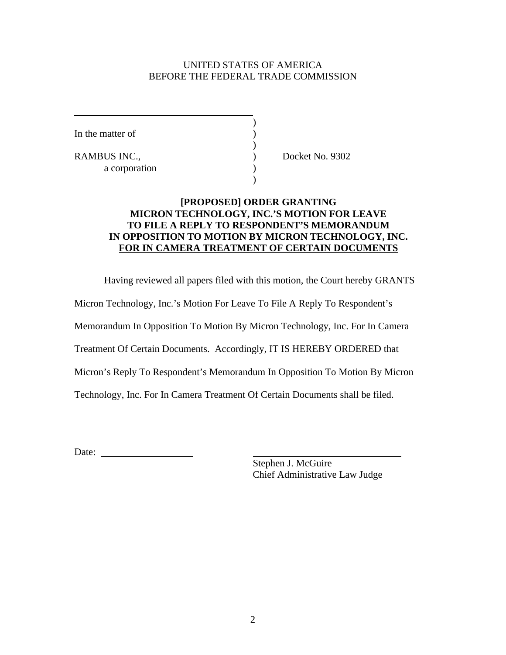## UNITED STATES OF AMERICA BEFORE THE FEDERAL TRADE COMMISSION

)

)

)

In the matter of  $\qquad \qquad$  )

RAMBUS INC.,  $Docket No. 9302$ a corporation

## **[PROPOSED] ORDER GRANTING MICRON TECHNOLOGY, INC.'S MOTION FOR LEAVE TO FILE A REPLY TO RESPONDENT'S MEMORANDUM IN OPPOSITION TO MOTION BY MICRON TECHNOLOGY, INC. FOR IN CAMERA TREATMENT OF CERTAIN DOCUMENTS**

Having reviewed all papers filed with this motion, the Court hereby GRANTS

Micron Technology, Inc.'s Motion For Leave To File A Reply To Respondent's

Memorandum In Opposition To Motion By Micron Technology, Inc. For In Camera

Treatment Of Certain Documents. Accordingly, IT IS HEREBY ORDERED that

Micron's Reply To Respondent's Memorandum In Opposition To Motion By Micron

Technology, Inc. For In Camera Treatment Of Certain Documents shall be filed.

Date: and the contract of the contract of the contract of the contract of the contract of the contract of the contract of the contract of the contract of the contract of the contract of the contract of the contract of the

Stephen J. McGuire Chief Administrative Law Judge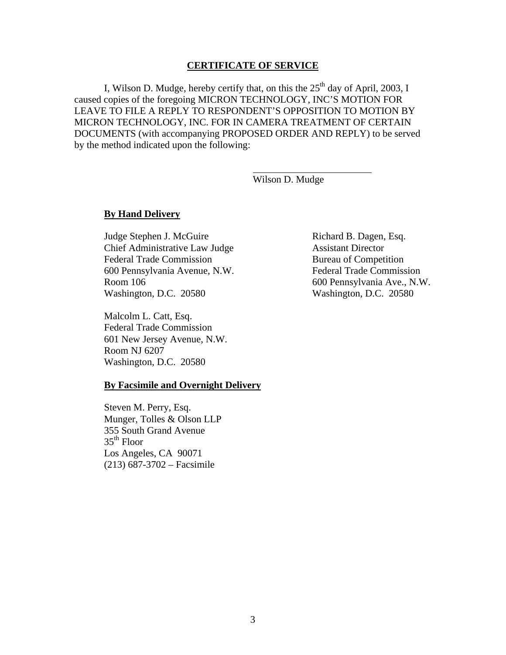#### **CERTIFICATE OF SERVICE**

I, Wilson D. Mudge, hereby certify that, on this the  $25<sup>th</sup>$  day of April, 2003, I caused copies of the foregoing MICRON TECHNOLOGY, INC'S MOTION FOR LEAVE TO FILE A REPLY TO RESPONDENT'S OPPOSITION TO MOTION BY MICRON TECHNOLOGY, INC. FOR IN CAMERA TREATMENT OF CERTAIN DOCUMENTS (with accompanying PROPOSED ORDER AND REPLY) to be served by the method indicated upon the following:

Wilson D. Mudge

#### **By Hand Delivery**

Judge Stephen J. McGuire Richard B. Dagen, Esq. Chief Administrative Law Judge Assistant Director Federal Trade Commission Bureau of Competition 600 Pennsylvania Avenue, N.W. Federal Trade Commission Room 106 600 Pennsylvania Ave., N.W. Washington, D.C. 20580 Washington, D.C. 20580

Malcolm L. Catt, Esq. Federal Trade Commission 601 New Jersey Avenue, N.W. Room NJ 6207 Washington, D.C. 20580

#### **By Facsimile and Overnight Delivery**

Steven M. Perry, Esq. Munger, Tolles & Olson LLP 355 South Grand Avenue  $35<sup>th</sup>$  Floor Los Angeles, CA 90071 (213) 687-3702 – Facsimile